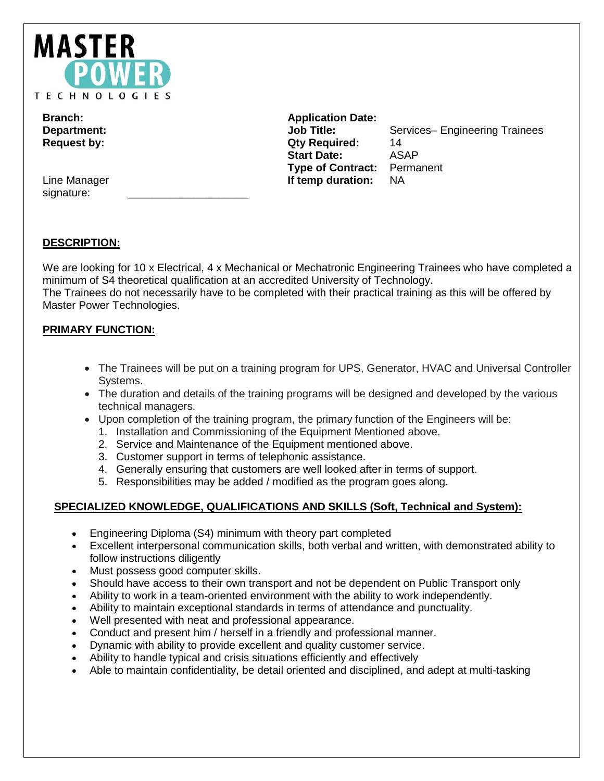

Line Manager signature:

**Branch: Application Date: Request by: Qty Required:** 14 **Start Date:** ASAP **Type of Contract:** Permanent **If temp duration:** NA

**Department: Compartment: Job Title:** Services– Engineering Trainees

# **DESCRIPTION:**

We are looking for 10 x Electrical, 4 x Mechanical or Mechatronic Engineering Trainees who have completed a minimum of S4 theoretical qualification at an accredited University of Technology. The Trainees do not necessarily have to be completed with their practical training as this will be offered by Master Power Technologies.

# **PRIMARY FUNCTION:**

- The Trainees will be put on a training program for UPS, Generator, HVAC and Universal Controller Systems.
- The duration and details of the training programs will be designed and developed by the various technical managers.
- Upon completion of the training program, the primary function of the Engineers will be:
	- 1. Installation and Commissioning of the Equipment Mentioned above.
	- 2. Service and Maintenance of the Equipment mentioned above.
	- 3. Customer support in terms of telephonic assistance.
	- 4. Generally ensuring that customers are well looked after in terms of support.
	- 5. Responsibilities may be added / modified as the program goes along.

## **SPECIALIZED KNOWLEDGE, QUALIFICATIONS AND SKILLS (Soft, Technical and System):**

- Engineering Diploma (S4) minimum with theory part completed
- Excellent interpersonal communication skills, both verbal and written, with demonstrated ability to follow instructions diligently
- Must possess good computer skills.
- Should have access to their own transport and not be dependent on Public Transport only
- Ability to work in a team-oriented environment with the ability to work independently.
- Ability to maintain exceptional standards in terms of attendance and punctuality.
- Well presented with neat and professional appearance.
- Conduct and present him / herself in a friendly and professional manner.
- Dynamic with ability to provide excellent and quality customer service.
- Ability to handle typical and crisis situations efficiently and effectively
- Able to maintain confidentiality, be detail oriented and disciplined, and adept at multi-tasking